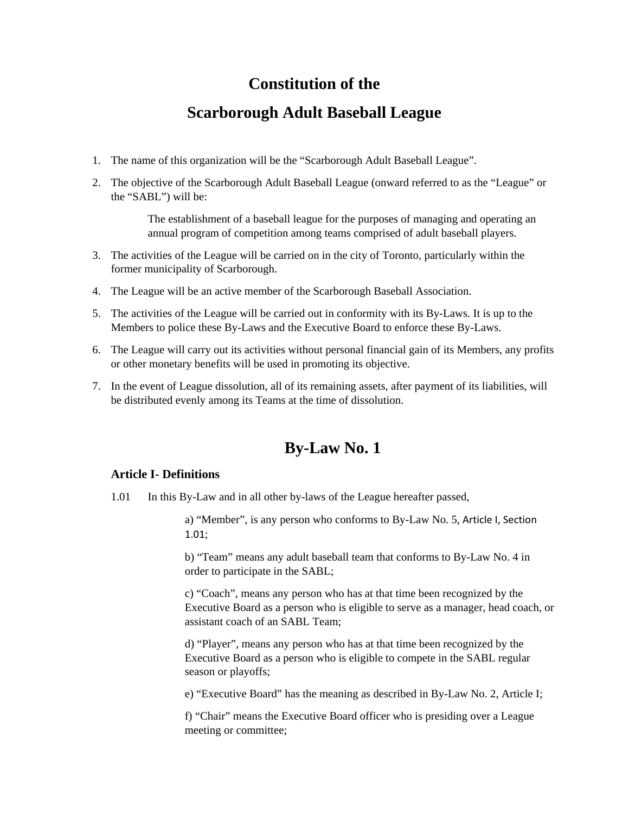# **Constitution of the**

# **Scarborough Adult Baseball League**

- 1. The name of this organization will be the "Scarborough Adult Baseball League".
- 2. The objective of the Scarborough Adult Baseball League (onward referred to as the "League" or the "SABL") will be:

The establishment of a baseball league for the purposes of managing and operating an annual program of competition among teams comprised of adult baseball players.

- 3. The activities of the League will be carried on in the city of Toronto, particularly within the former municipality of Scarborough.
- 4. The League will be an active member of the Scarborough Baseball Association.
- 5. The activities of the League will be carried out in conformity with its By-Laws. It is up to the Members to police these By-Laws and the Executive Board to enforce these By-Laws.
- 6. The League will carry out its activities without personal financial gain of its Members, any profits or other monetary benefits will be used in promoting its objective.
- 7. In the event of League dissolution, all of its remaining assets, after payment of its liabilities, will be distributed evenly among its Teams at the time of dissolution.

# **By-Law No. 1**

### **Article I- Definitions**

1.01 In this By-Law and in all other by-laws of the League hereafter passed,

a) "Member", is any person who conforms to By-Law No. 5, Article I, Section 1.01;

b) "Team" means any adult baseball team that conforms to By-Law No. 4 in order to participate in the SABL;

c) "Coach", means any person who has at that time been recognized by the Executive Board as a person who is eligible to serve as a manager, head coach, or assistant coach of an SABL Team;

d) "Player", means any person who has at that time been recognized by the Executive Board as a person who is eligible to compete in the SABL regular season or playoffs;

e) "Executive Board" has the meaning as described in By-Law No. 2, Article I;

f) "Chair" means the Executive Board officer who is presiding over a League meeting or committee;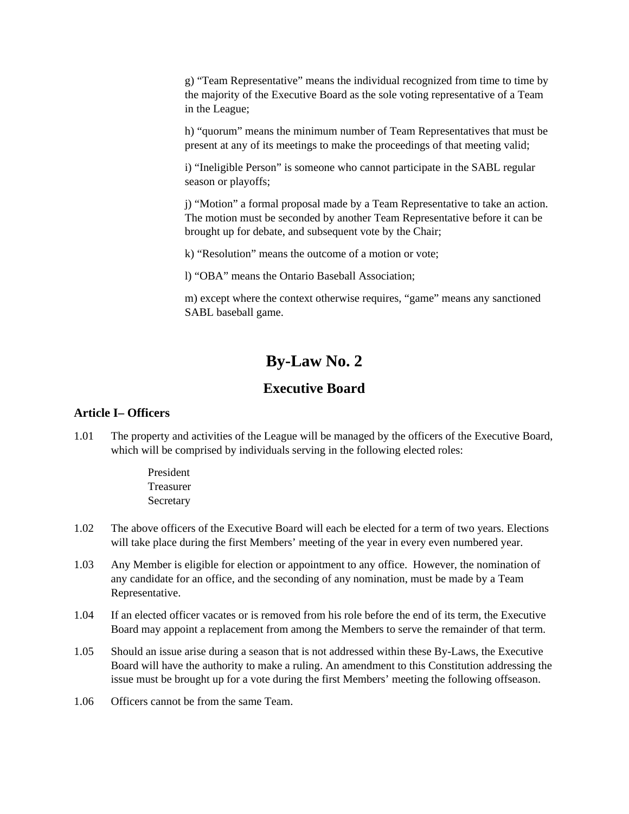g) "Team Representative" means the individual recognized from time to time by the majority of the Executive Board as the sole voting representative of a Team in the League;

h) "quorum" means the minimum number of Team Representatives that must be present at any of its meetings to make the proceedings of that meeting valid;

i) "Ineligible Person" is someone who cannot participate in the SABL regular season or playoffs;

j) "Motion" a formal proposal made by a Team Representative to take an action. The motion must be seconded by another Team Representative before it can be brought up for debate, and subsequent vote by the Chair;

k) "Resolution" means the outcome of a motion or vote;

l) "OBA" means the Ontario Baseball Association;

m) except where the context otherwise requires, "game" means any sanctioned SABL baseball game.

# **By-Law No. 2**

## **Executive Board**

### **Article I– Officers**

1.01 The property and activities of the League will be managed by the officers of the Executive Board, which will be comprised by individuals serving in the following elected roles:

> President Treasurer Secretary

- 1.02 The above officers of the Executive Board will each be elected for a term of two years. Elections will take place during the first Members' meeting of the year in every even numbered year.
- 1.03 Any Member is eligible for election or appointment to any office. However, the nomination of any candidate for an office, and the seconding of any nomination, must be made by a Team Representative.
- 1.04 If an elected officer vacates or is removed from his role before the end of its term, the Executive Board may appoint a replacement from among the Members to serve the remainder of that term.
- 1.05 Should an issue arise during a season that is not addressed within these By-Laws, the Executive Board will have the authority to make a ruling. An amendment to this Constitution addressing the issue must be brought up for a vote during the first Members' meeting the following offseason.
- 1.06 Officers cannot be from the same Team.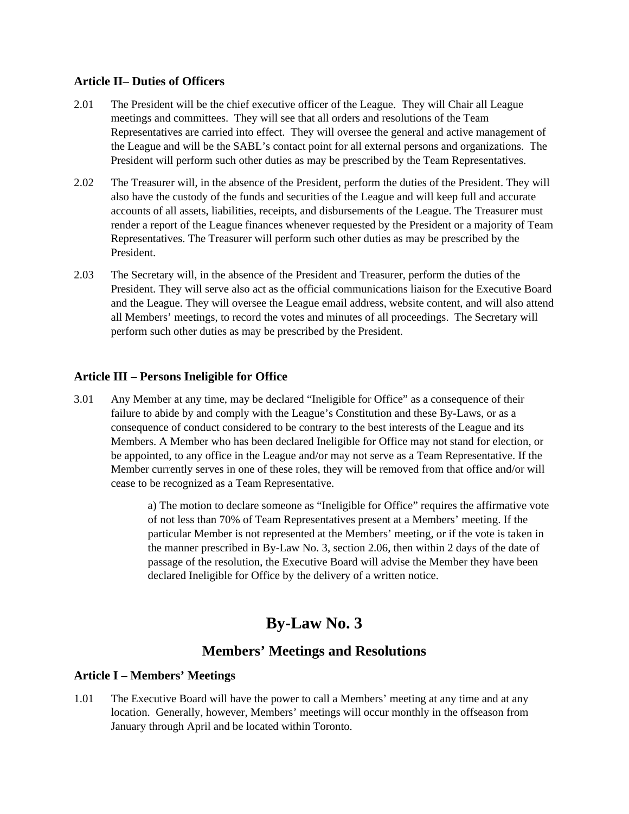### **Article II– Duties of Officers**

- 2.01 The President will be the chief executive officer of the League. They will Chair all League meetings and committees. They will see that all orders and resolutions of the Team Representatives are carried into effect. They will oversee the general and active management of the League and will be the SABL's contact point for all external persons and organizations. The President will perform such other duties as may be prescribed by the Team Representatives.
- 2.02 The Treasurer will, in the absence of the President, perform the duties of the President. They will also have the custody of the funds and securities of the League and will keep full and accurate accounts of all assets, liabilities, receipts, and disbursements of the League. The Treasurer must render a report of the League finances whenever requested by the President or a majority of Team Representatives. The Treasurer will perform such other duties as may be prescribed by the President.
- 2.03 The Secretary will, in the absence of the President and Treasurer, perform the duties of the President. They will serve also act as the official communications liaison for the Executive Board and the League. They will oversee the League email address, website content, and will also attend all Members' meetings, to record the votes and minutes of all proceedings. The Secretary will perform such other duties as may be prescribed by the President.

### **Article III – Persons Ineligible for Office**

3.01 Any Member at any time, may be declared "Ineligible for Office" as a consequence of their failure to abide by and comply with the League's Constitution and these By-Laws, or as a consequence of conduct considered to be contrary to the best interests of the League and its Members. A Member who has been declared Ineligible for Office may not stand for election, or be appointed, to any office in the League and/or may not serve as a Team Representative. If the Member currently serves in one of these roles, they will be removed from that office and/or will cease to be recognized as a Team Representative.

> a) The motion to declare someone as "Ineligible for Office" requires the affirmative vote of not less than 70% of Team Representatives present at a Members' meeting. If the particular Member is not represented at the Members' meeting, or if the vote is taken in the manner prescribed in By-Law No. 3, section 2.06, then within 2 days of the date of passage of the resolution, the Executive Board will advise the Member they have been declared Ineligible for Office by the delivery of a written notice.

# **By-Law No. 3**

## **Members' Meetings and Resolutions**

### **Article I – Members' Meetings**

1.01 The Executive Board will have the power to call a Members' meeting at any time and at any location. Generally, however, Members' meetings will occur monthly in the offseason from January through April and be located within Toronto.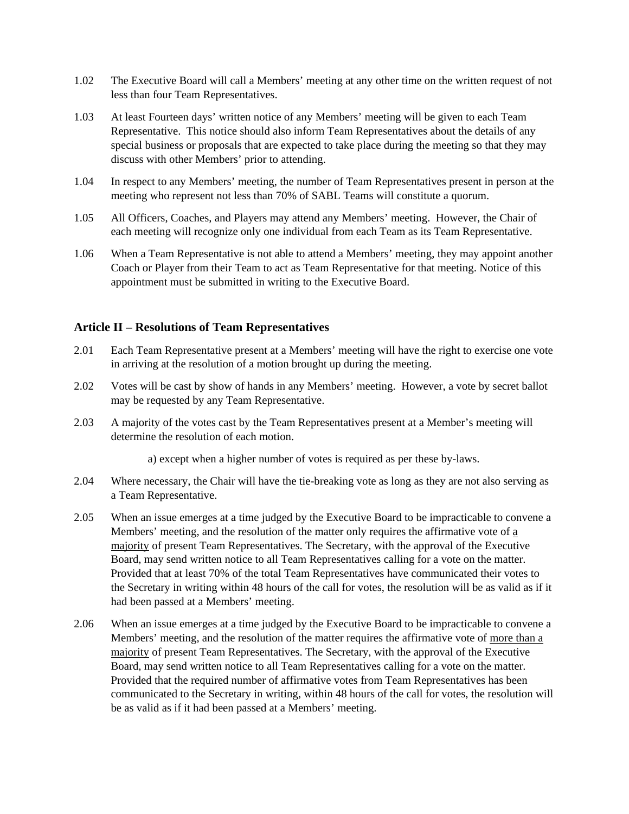- 1.02 The Executive Board will call a Members' meeting at any other time on the written request of not less than four Team Representatives.
- 1.03 At least Fourteen days' written notice of any Members' meeting will be given to each Team Representative. This notice should also inform Team Representatives about the details of any special business or proposals that are expected to take place during the meeting so that they may discuss with other Members' prior to attending.
- 1.04 In respect to any Members' meeting, the number of Team Representatives present in person at the meeting who represent not less than 70% of SABL Teams will constitute a quorum.
- 1.05 All Officers, Coaches, and Players may attend any Members' meeting. However, the Chair of each meeting will recognize only one individual from each Team as its Team Representative.
- 1.06 When a Team Representative is not able to attend a Members' meeting, they may appoint another Coach or Player from their Team to act as Team Representative for that meeting. Notice of this appointment must be submitted in writing to the Executive Board.

#### **Article II – Resolutions of Team Representatives**

- 2.01 Each Team Representative present at a Members' meeting will have the right to exercise one vote in arriving at the resolution of a motion brought up during the meeting.
- 2.02 Votes will be cast by show of hands in any Members' meeting. However, a vote by secret ballot may be requested by any Team Representative.
- 2.03 A majority of the votes cast by the Team Representatives present at a Member's meeting will determine the resolution of each motion.
	- a) except when a higher number of votes is required as per these by-laws.
- 2.04 Where necessary, the Chair will have the tie-breaking vote as long as they are not also serving as a Team Representative.
- 2.05 When an issue emerges at a time judged by the Executive Board to be impracticable to convene a Members' meeting, and the resolution of the matter only requires the affirmative vote of a majority of present Team Representatives. The Secretary, with the approval of the Executive Board, may send written notice to all Team Representatives calling for a vote on the matter. Provided that at least 70% of the total Team Representatives have communicated their votes to the Secretary in writing within 48 hours of the call for votes, the resolution will be as valid as if it had been passed at a Members' meeting.
- 2.06 When an issue emerges at a time judged by the Executive Board to be impracticable to convene a Members' meeting, and the resolution of the matter requires the affirmative vote of more than a majority of present Team Representatives. The Secretary, with the approval of the Executive Board, may send written notice to all Team Representatives calling for a vote on the matter. Provided that the required number of affirmative votes from Team Representatives has been communicated to the Secretary in writing, within 48 hours of the call for votes, the resolution will be as valid as if it had been passed at a Members' meeting.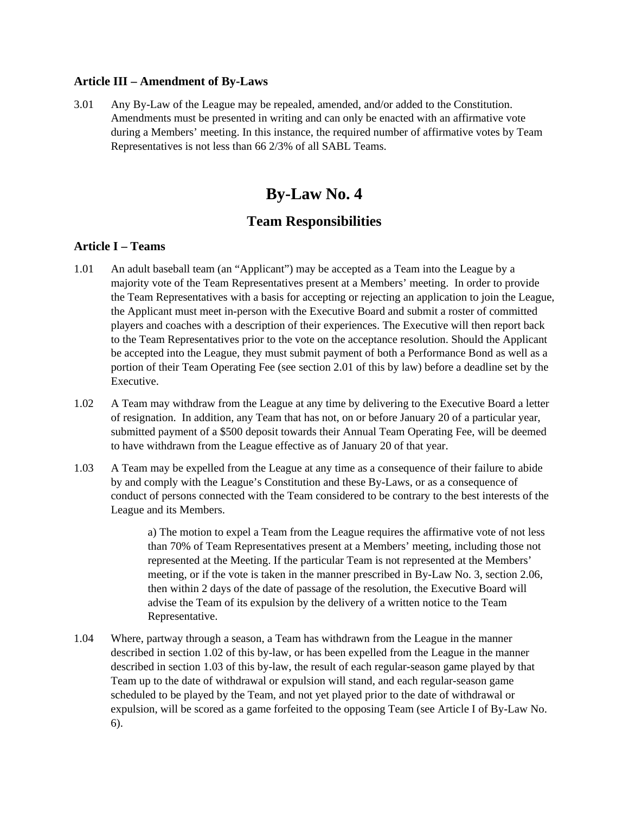#### **Article III – Amendment of By-Laws**

3.01 Any By-Law of the League may be repealed, amended, and/or added to the Constitution. Amendments must be presented in writing and can only be enacted with an affirmative vote during a Members' meeting. In this instance, the required number of affirmative votes by Team Representatives is not less than 66 2/3% of all SABL Teams.

# **By-Law No. 4**

## **Team Responsibilities**

### **Article I – Teams**

- 1.01 An adult baseball team (an "Applicant") may be accepted as a Team into the League by a majority vote of the Team Representatives present at a Members' meeting. In order to provide the Team Representatives with a basis for accepting or rejecting an application to join the League, the Applicant must meet in-person with the Executive Board and submit a roster of committed players and coaches with a description of their experiences. The Executive will then report back to the Team Representatives prior to the vote on the acceptance resolution. Should the Applicant be accepted into the League, they must submit payment of both a Performance Bond as well as a portion of their Team Operating Fee (see section 2.01 of this by law) before a deadline set by the Executive.
- 1.02 A Team may withdraw from the League at any time by delivering to the Executive Board a letter of resignation. In addition, any Team that has not, on or before January 20 of a particular year, submitted payment of a \$500 deposit towards their Annual Team Operating Fee, will be deemed to have withdrawn from the League effective as of January 20 of that year.
- 1.03 A Team may be expelled from the League at any time as a consequence of their failure to abide by and comply with the League's Constitution and these By-Laws, or as a consequence of conduct of persons connected with the Team considered to be contrary to the best interests of the League and its Members.

a) The motion to expel a Team from the League requires the affirmative vote of not less than 70% of Team Representatives present at a Members' meeting, including those not represented at the Meeting. If the particular Team is not represented at the Members' meeting, or if the vote is taken in the manner prescribed in By-Law No. 3, section 2.06, then within 2 days of the date of passage of the resolution, the Executive Board will advise the Team of its expulsion by the delivery of a written notice to the Team Representative.

1.04 Where, partway through a season, a Team has withdrawn from the League in the manner described in section 1.02 of this by-law, or has been expelled from the League in the manner described in section 1.03 of this by-law, the result of each regular-season game played by that Team up to the date of withdrawal or expulsion will stand, and each regular-season game scheduled to be played by the Team, and not yet played prior to the date of withdrawal or expulsion, will be scored as a game forfeited to the opposing Team (see Article I of By-Law No. 6).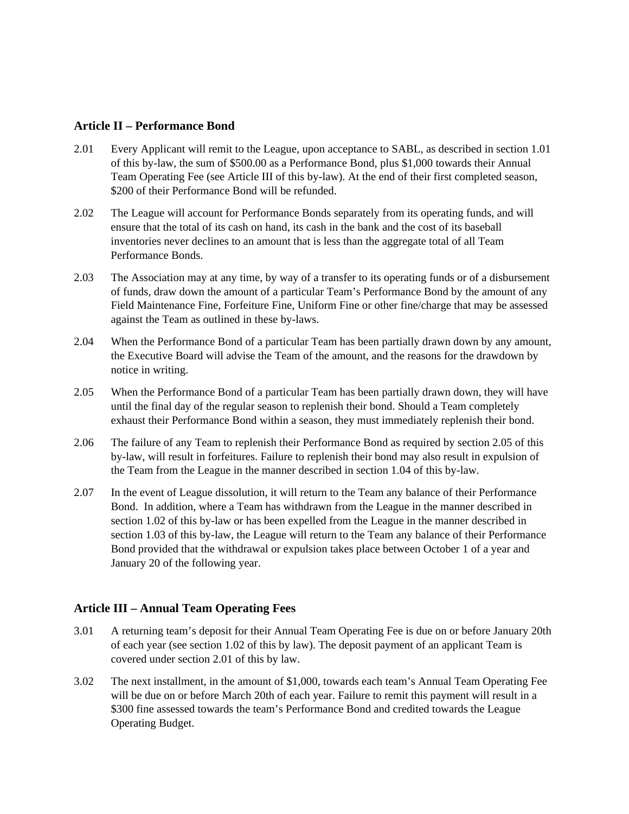#### **Article II – Performance Bond**

- 2.01 Every Applicant will remit to the League, upon acceptance to SABL, as described in section 1.01 of this by-law, the sum of \$500.00 as a Performance Bond, plus \$1,000 towards their Annual Team Operating Fee (see Article III of this by-law). At the end of their first completed season, \$200 of their Performance Bond will be refunded.
- 2.02 The League will account for Performance Bonds separately from its operating funds, and will ensure that the total of its cash on hand, its cash in the bank and the cost of its baseball inventories never declines to an amount that is less than the aggregate total of all Team Performance Bonds.
- 2.03 The Association may at any time, by way of a transfer to its operating funds or of a disbursement of funds, draw down the amount of a particular Team's Performance Bond by the amount of any Field Maintenance Fine, Forfeiture Fine, Uniform Fine or other fine/charge that may be assessed against the Team as outlined in these by-laws.
- 2.04 When the Performance Bond of a particular Team has been partially drawn down by any amount, the Executive Board will advise the Team of the amount, and the reasons for the drawdown by notice in writing.
- 2.05 When the Performance Bond of a particular Team has been partially drawn down, they will have until the final day of the regular season to replenish their bond. Should a Team completely exhaust their Performance Bond within a season, they must immediately replenish their bond.
- 2.06 The failure of any Team to replenish their Performance Bond as required by section 2.05 of this by-law, will result in forfeitures. Failure to replenish their bond may also result in expulsion of the Team from the League in the manner described in section 1.04 of this by-law.
- 2.07 In the event of League dissolution, it will return to the Team any balance of their Performance Bond. In addition, where a Team has withdrawn from the League in the manner described in section 1.02 of this by-law or has been expelled from the League in the manner described in section 1.03 of this by-law, the League will return to the Team any balance of their Performance Bond provided that the withdrawal or expulsion takes place between October 1 of a year and January 20 of the following year.

### **Article III – Annual Team Operating Fees**

- 3.01 A returning team's deposit for their Annual Team Operating Fee is due on or before January 20th of each year (see section 1.02 of this by law). The deposit payment of an applicant Team is covered under section 2.01 of this by law.
- 3.02 The next installment, in the amount of \$1,000, towards each team's Annual Team Operating Fee will be due on or before March 20th of each year. Failure to remit this payment will result in a \$300 fine assessed towards the team's Performance Bond and credited towards the League Operating Budget.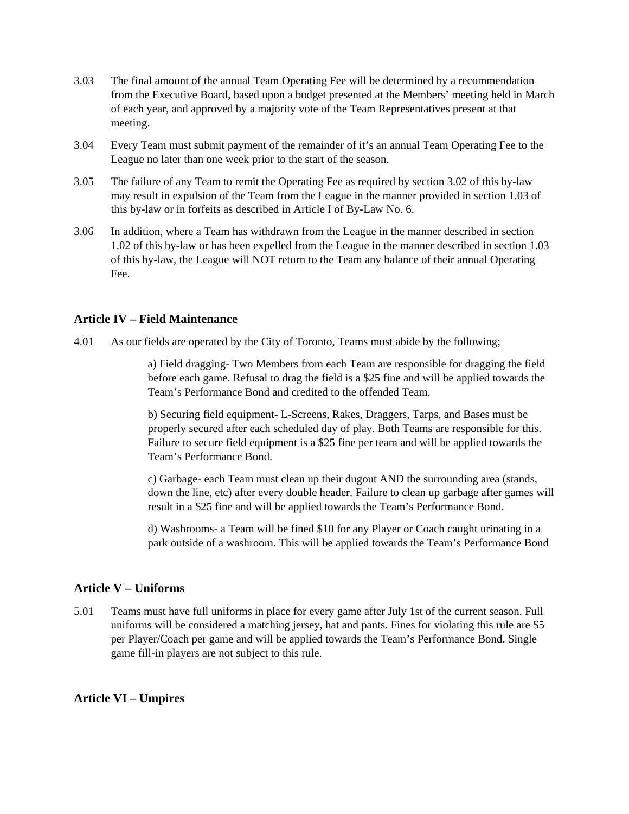- 3.03 The final amount of the annual Team Operating Fee will be determined by a recommendation from the Executive Board, based upon a budget presented at the Members' meeting held in March of each year, and approved by a majority vote of the Team Representatives present at that meeting.
- 3.04 Every Team must submit payment of the remainder of it's an annual Team Operating Fee to the League no later than one week prior to the start of the season.
- 3.05 The failure of any Team to remit the Operating Fee as required by section 3.02 of this by-law may result in expulsion of the Team from the League in the manner provided in section 1.03 of this by-law or in forfeits as described in Article I of By-Law No. 6.
- 3.06 In addition, where a Team has withdrawn from the League in the manner described in section 1.02 of this by-law or has been expelled from the League in the manner described in section 1.03 of this by-law, the League will NOT return to the Team any balance of their annual Operating Fee.

### **Article IV – Field Maintenance**

4.01 As our fields are operated by the City of Toronto, Teams must abide by the following;

a) Field dragging- Two Members from each Team are responsible for dragging the field before each game. Refusal to drag the field is a \$25 fine and will be applied towards the Team's Performance Bond and credited to the offended Team.

b) Securing field equipment- L-Screens, Rakes, Draggers, Tarps, and Bases must be properly secured after each scheduled day of play. Both Teams are responsible for this. Failure to secure field equipment is a \$25 fine per team and will be applied towards the Team's Performance Bond.

c) Garbage- each Team must clean up their dugout AND the surrounding area (stands, down the line, etc) after every double header. Failure to clean up garbage after games will result in a \$25 fine and will be applied towards the Team's Performance Bond.

d) Washrooms- a Team will be fined \$10 for any Player or Coach caught urinating in a park outside of a washroom. This will be applied towards the Team's Performance Bond

### **Article V – Uniforms**

5.01 Teams must have full uniforms in place for every game after July 1st of the current season. Full uniforms will be considered a matching jersey, hat and pants. Fines for violating this rule are \$5 per Player/Coach per game and will be applied towards the Team's Performance Bond. Single game fill-in players are not subject to this rule.

#### **Article VI – Umpires**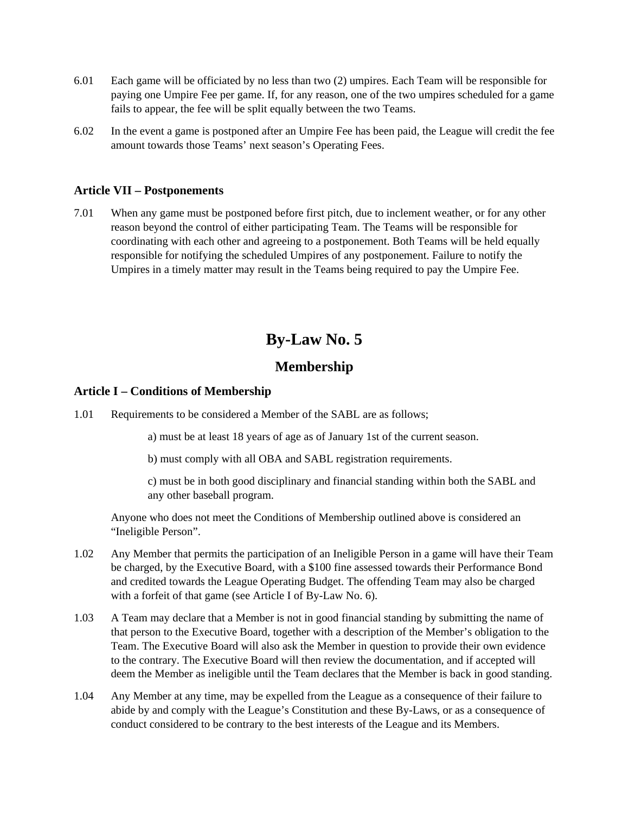- 6.01 Each game will be officiated by no less than two (2) umpires. Each Team will be responsible for paying one Umpire Fee per game. If, for any reason, one of the two umpires scheduled for a game fails to appear, the fee will be split equally between the two Teams.
- 6.02 In the event a game is postponed after an Umpire Fee has been paid, the League will credit the fee amount towards those Teams' next season's Operating Fees.

#### **Article VII – Postponements**

7.01 When any game must be postponed before first pitch, due to inclement weather, or for any other reason beyond the control of either participating Team. The Teams will be responsible for coordinating with each other and agreeing to a postponement. Both Teams will be held equally responsible for notifying the scheduled Umpires of any postponement. Failure to notify the Umpires in a timely matter may result in the Teams being required to pay the Umpire Fee.

# **By-Law No. 5**

## **Membership**

#### **Article I – Conditions of Membership**

1.01 Requirements to be considered a Member of the SABL are as follows;

a) must be at least 18 years of age as of January 1st of the current season.

b) must comply with all OBA and SABL registration requirements.

c) must be in both good disciplinary and financial standing within both the SABL and any other baseball program.

Anyone who does not meet the Conditions of Membership outlined above is considered an "Ineligible Person".

- 1.02 Any Member that permits the participation of an Ineligible Person in a game will have their Team be charged, by the Executive Board, with a \$100 fine assessed towards their Performance Bond and credited towards the League Operating Budget. The offending Team may also be charged with a forfeit of that game (see Article I of By-Law No. 6).
- 1.03 A Team may declare that a Member is not in good financial standing by submitting the name of that person to the Executive Board, together with a description of the Member's obligation to the Team. The Executive Board will also ask the Member in question to provide their own evidence to the contrary. The Executive Board will then review the documentation, and if accepted will deem the Member as ineligible until the Team declares that the Member is back in good standing.
- 1.04 Any Member at any time, may be expelled from the League as a consequence of their failure to abide by and comply with the League's Constitution and these By-Laws, or as a consequence of conduct considered to be contrary to the best interests of the League and its Members.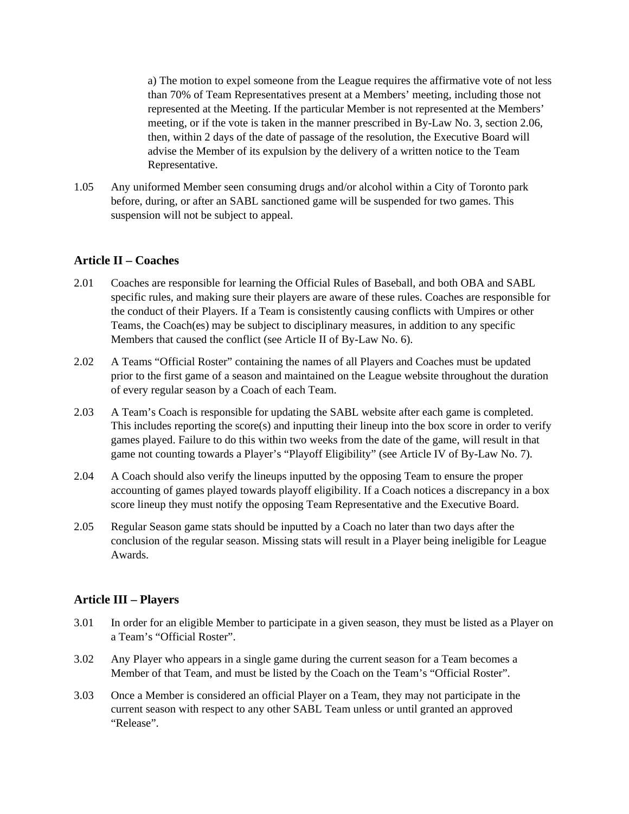a) The motion to expel someone from the League requires the affirmative vote of not less than 70% of Team Representatives present at a Members' meeting, including those not represented at the Meeting. If the particular Member is not represented at the Members' meeting, or if the vote is taken in the manner prescribed in By-Law No. 3, section 2.06, then, within 2 days of the date of passage of the resolution, the Executive Board will advise the Member of its expulsion by the delivery of a written notice to the Team Representative.

1.05 Any uniformed Member seen consuming drugs and/or alcohol within a City of Toronto park before, during, or after an SABL sanctioned game will be suspended for two games. This suspension will not be subject to appeal.

### **Article II – Coaches**

- 2.01 Coaches are responsible for learning the Official Rules of Baseball, and both OBA and SABL specific rules, and making sure their players are aware of these rules. Coaches are responsible for the conduct of their Players. If a Team is consistently causing conflicts with Umpires or other Teams, the Coach(es) may be subject to disciplinary measures, in addition to any specific Members that caused the conflict (see Article II of By-Law No. 6).
- 2.02 A Teams "Official Roster" containing the names of all Players and Coaches must be updated prior to the first game of a season and maintained on the League website throughout the duration of every regular season by a Coach of each Team.
- 2.03 A Team's Coach is responsible for updating the SABL website after each game is completed. This includes reporting the score(s) and inputting their lineup into the box score in order to verify games played. Failure to do this within two weeks from the date of the game, will result in that game not counting towards a Player's "Playoff Eligibility" (see Article IV of By-Law No. 7).
- 2.04 A Coach should also verify the lineups inputted by the opposing Team to ensure the proper accounting of games played towards playoff eligibility. If a Coach notices a discrepancy in a box score lineup they must notify the opposing Team Representative and the Executive Board.
- 2.05 Regular Season game stats should be inputted by a Coach no later than two days after the conclusion of the regular season. Missing stats will result in a Player being ineligible for League Awards.

#### **Article III – Players**

- 3.01 In order for an eligible Member to participate in a given season, they must be listed as a Player on a Team's "Official Roster".
- 3.02 Any Player who appears in a single game during the current season for a Team becomes a Member of that Team, and must be listed by the Coach on the Team's "Official Roster".
- 3.03 Once a Member is considered an official Player on a Team, they may not participate in the current season with respect to any other SABL Team unless or until granted an approved "Release".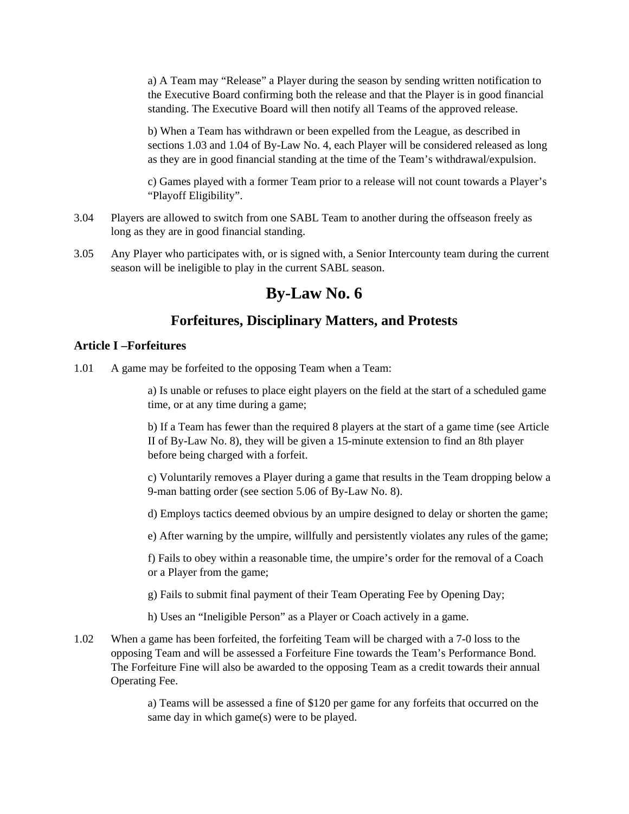a) A Team may "Release" a Player during the season by sending written notification to the Executive Board confirming both the release and that the Player is in good financial standing. The Executive Board will then notify all Teams of the approved release.

b) When a Team has withdrawn or been expelled from the League, as described in sections 1.03 and 1.04 of By-Law No. 4, each Player will be considered released as long as they are in good financial standing at the time of the Team's withdrawal/expulsion.

c) Games played with a former Team prior to a release will not count towards a Player's "Playoff Eligibility".

- 3.04 Players are allowed to switch from one SABL Team to another during the offseason freely as long as they are in good financial standing.
- 3.05 Any Player who participates with, or is signed with, a Senior Intercounty team during the current season will be ineligible to play in the current SABL season.

# **By-Law No. 6**

## **Forfeitures, Disciplinary Matters, and Protests**

#### **Article I –Forfeitures**

1.01 A game may be forfeited to the opposing Team when a Team:

a) Is unable or refuses to place eight players on the field at the start of a scheduled game time, or at any time during a game;

b) If a Team has fewer than the required 8 players at the start of a game time (see Article II of By-Law No. 8), they will be given a 15-minute extension to find an 8th player before being charged with a forfeit.

c) Voluntarily removes a Player during a game that results in the Team dropping below a 9-man batting order (see section 5.06 of By-Law No. 8).

d) Employs tactics deemed obvious by an umpire designed to delay or shorten the game;

e) After warning by the umpire, willfully and persistently violates any rules of the game;

f) Fails to obey within a reasonable time, the umpire's order for the removal of a Coach or a Player from the game;

g) Fails to submit final payment of their Team Operating Fee by Opening Day;

h) Uses an "Ineligible Person" as a Player or Coach actively in a game.

1.02 When a game has been forfeited, the forfeiting Team will be charged with a 7-0 loss to the opposing Team and will be assessed a Forfeiture Fine towards the Team's Performance Bond. The Forfeiture Fine will also be awarded to the opposing Team as a credit towards their annual Operating Fee.

> a) Teams will be assessed a fine of \$120 per game for any forfeits that occurred on the same day in which game(s) were to be played.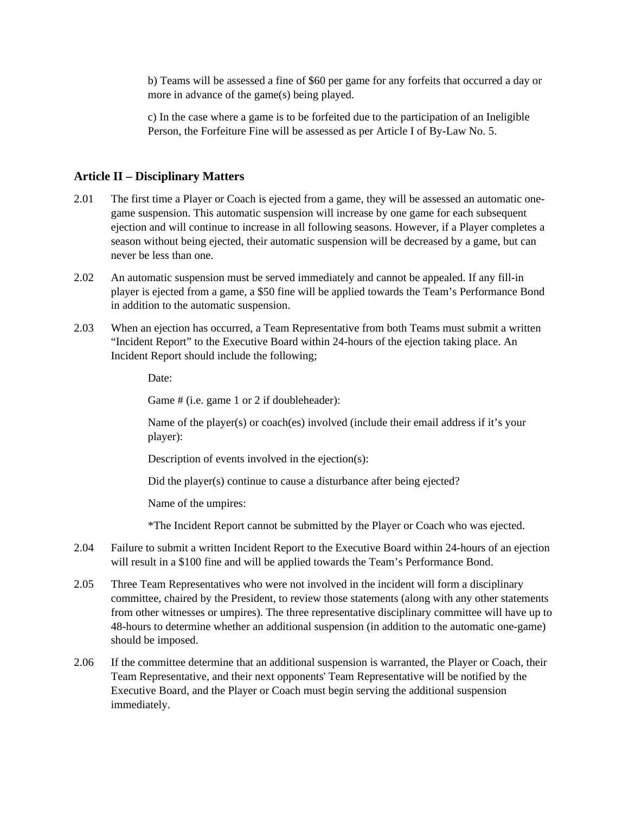b) Teams will be assessed a fine of \$60 per game for any forfeits that occurred a day or more in advance of the game(s) being played.

c) In the case where a game is to be forfeited due to the participation of an Ineligible Person, the Forfeiture Fine will be assessed as per Article I of By-Law No. 5.

#### **Article II – Disciplinary Matters**

- 2.01 The first time a Player or Coach is ejected from a game, they will be assessed an automatic onegame suspension. This automatic suspension will increase by one game for each subsequent ejection and will continue to increase in all following seasons. However, if a Player completes a season without being ejected, their automatic suspension will be decreased by a game, but can never be less than one.
- 2.02 An automatic suspension must be served immediately and cannot be appealed. If any fill-in player is ejected from a game, a \$50 fine will be applied towards the Team's Performance Bond in addition to the automatic suspension.
- 2.03 When an ejection has occurred, a Team Representative from both Teams must submit a written "Incident Report" to the Executive Board within 24-hours of the ejection taking place. An Incident Report should include the following;

Date<sup>·</sup>

Game # (i.e. game 1 or 2 if doubleheader):

 Name of the player(s) or coach(es) involved (include their email address if it's your player):

Description of events involved in the ejection(s):

Did the player(s) continue to cause a disturbance after being ejected?

Name of the umpires:

\*The Incident Report cannot be submitted by the Player or Coach who was ejected.

- 2.04 Failure to submit a written Incident Report to the Executive Board within 24-hours of an ejection will result in a \$100 fine and will be applied towards the Team's Performance Bond.
- 2.05 Three Team Representatives who were not involved in the incident will form a disciplinary committee, chaired by the President, to review those statements (along with any other statements from other witnesses or umpires). The three representative disciplinary committee will have up to 48-hours to determine whether an additional suspension (in addition to the automatic one-game) should be imposed.
- 2.06 If the committee determine that an additional suspension is warranted, the Player or Coach, their Team Representative, and their next opponents' Team Representative will be notified by the Executive Board, and the Player or Coach must begin serving the additional suspension immediately.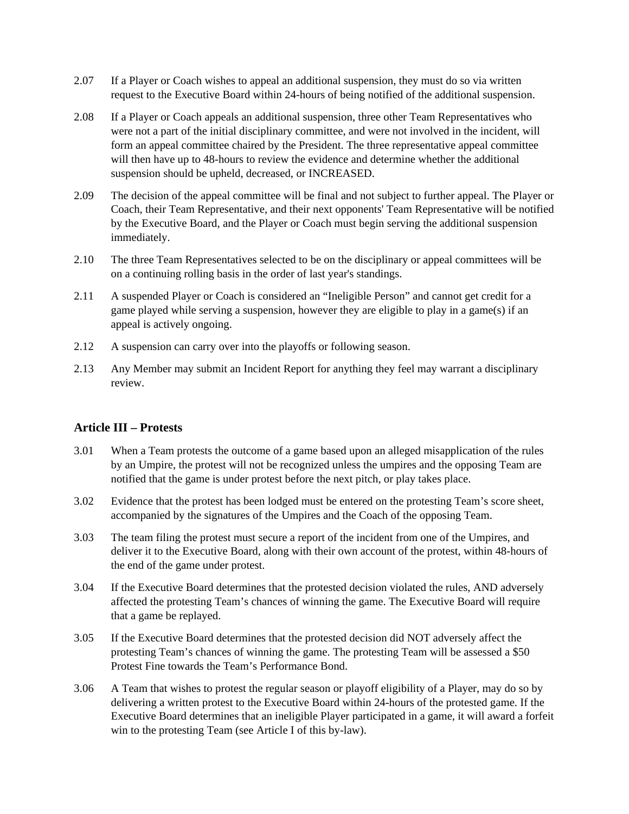- 2.07 If a Player or Coach wishes to appeal an additional suspension, they must do so via written request to the Executive Board within 24-hours of being notified of the additional suspension.
- 2.08 If a Player or Coach appeals an additional suspension, three other Team Representatives who were not a part of the initial disciplinary committee, and were not involved in the incident, will form an appeal committee chaired by the President. The three representative appeal committee will then have up to 48-hours to review the evidence and determine whether the additional suspension should be upheld, decreased, or INCREASED.
- 2.09 The decision of the appeal committee will be final and not subject to further appeal. The Player or Coach, their Team Representative, and their next opponents' Team Representative will be notified by the Executive Board, and the Player or Coach must begin serving the additional suspension immediately.
- 2.10 The three Team Representatives selected to be on the disciplinary or appeal committees will be on a continuing rolling basis in the order of last year's standings.
- 2.11 A suspended Player or Coach is considered an "Ineligible Person" and cannot get credit for a game played while serving a suspension, however they are eligible to play in a game(s) if an appeal is actively ongoing.
- 2.12 A suspension can carry over into the playoffs or following season.
- 2.13 Any Member may submit an Incident Report for anything they feel may warrant a disciplinary review.

### **Article III – Protests**

- 3.01 When a Team protests the outcome of a game based upon an alleged misapplication of the rules by an Umpire, the protest will not be recognized unless the umpires and the opposing Team are notified that the game is under protest before the next pitch, or play takes place.
- 3.02 Evidence that the protest has been lodged must be entered on the protesting Team's score sheet, accompanied by the signatures of the Umpires and the Coach of the opposing Team.
- 3.03 The team filing the protest must secure a report of the incident from one of the Umpires, and deliver it to the Executive Board, along with their own account of the protest, within 48-hours of the end of the game under protest.
- 3.04 If the Executive Board determines that the protested decision violated the rules, AND adversely affected the protesting Team's chances of winning the game. The Executive Board will require that a game be replayed.
- 3.05 If the Executive Board determines that the protested decision did NOT adversely affect the protesting Team's chances of winning the game. The protesting Team will be assessed a \$50 Protest Fine towards the Team's Performance Bond.
- 3.06 A Team that wishes to protest the regular season or playoff eligibility of a Player, may do so by delivering a written protest to the Executive Board within 24-hours of the protested game. If the Executive Board determines that an ineligible Player participated in a game, it will award a forfeit win to the protesting Team (see Article I of this by-law).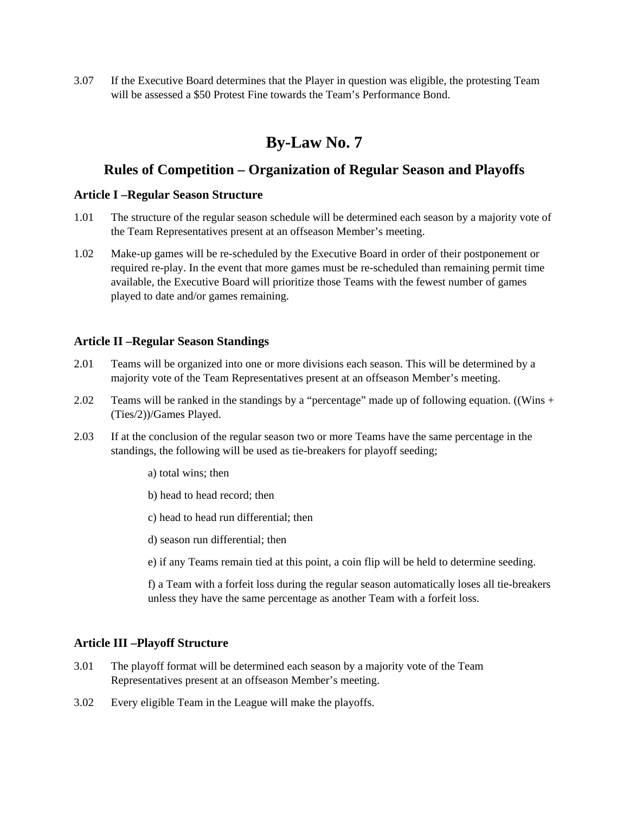3.07 If the Executive Board determines that the Player in question was eligible, the protesting Team will be assessed a \$50 Protest Fine towards the Team's Performance Bond.

# **By-Law No. 7**

## **Rules of Competition – Organization of Regular Season and Playoffs**

#### **Article I –Regular Season Structure**

- 1.01 The structure of the regular season schedule will be determined each season by a majority vote of the Team Representatives present at an offseason Member's meeting.
- 1.02 Make-up games will be re-scheduled by the Executive Board in order of their postponement or required re-play. In the event that more games must be re-scheduled than remaining permit time available, the Executive Board will prioritize those Teams with the fewest number of games played to date and/or games remaining.

#### **Article II –Regular Season Standings**

- 2.01 Teams will be organized into one or more divisions each season. This will be determined by a majority vote of the Team Representatives present at an offseason Member's meeting.
- 2.02 Teams will be ranked in the standings by a "percentage" made up of following equation. ((Wins + (Ties/2))/Games Played.
- 2.03 If at the conclusion of the regular season two or more Teams have the same percentage in the standings, the following will be used as tie-breakers for playoff seeding;
	- a) total wins; then
	- b) head to head record; then
	- c) head to head run differential; then
	- d) season run differential; then
	- e) if any Teams remain tied at this point, a coin flip will be held to determine seeding.

f) a Team with a forfeit loss during the regular season automatically loses all tie-breakers unless they have the same percentage as another Team with a forfeit loss.

#### **Article III –Playoff Structure**

- 3.01 The playoff format will be determined each season by a majority vote of the Team Representatives present at an offseason Member's meeting.
- 3.02 Every eligible Team in the League will make the playoffs.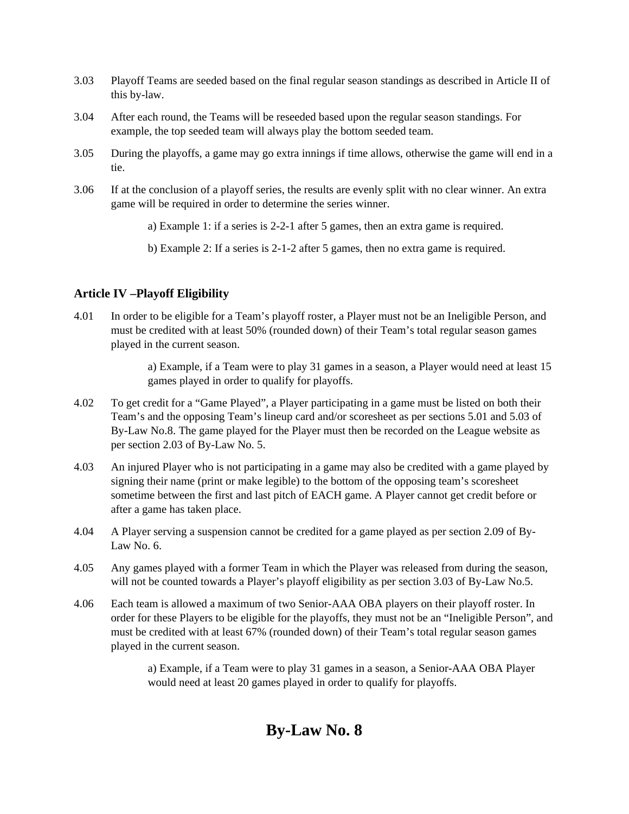- 3.03 Playoff Teams are seeded based on the final regular season standings as described in Article II of this by-law.
- 3.04 After each round, the Teams will be reseeded based upon the regular season standings. For example, the top seeded team will always play the bottom seeded team.
- 3.05 During the playoffs, a game may go extra innings if time allows, otherwise the game will end in a tie.
- 3.06 If at the conclusion of a playoff series, the results are evenly split with no clear winner. An extra game will be required in order to determine the series winner.
	- a) Example 1: if a series is 2-2-1 after 5 games, then an extra game is required.
	- b) Example 2: If a series is 2-1-2 after 5 games, then no extra game is required.

#### **Article IV –Playoff Eligibility**

4.01 In order to be eligible for a Team's playoff roster, a Player must not be an Ineligible Person, and must be credited with at least 50% (rounded down) of their Team's total regular season games played in the current season.

> a) Example, if a Team were to play 31 games in a season, a Player would need at least 15 games played in order to qualify for playoffs.

- 4.02 To get credit for a "Game Played", a Player participating in a game must be listed on both their Team's and the opposing Team's lineup card and/or scoresheet as per sections 5.01 and 5.03 of By-Law No.8. The game played for the Player must then be recorded on the League website as per section 2.03 of By-Law No. 5.
- 4.03 An injured Player who is not participating in a game may also be credited with a game played by signing their name (print or make legible) to the bottom of the opposing team's scoresheet sometime between the first and last pitch of EACH game. A Player cannot get credit before or after a game has taken place.
- 4.04 A Player serving a suspension cannot be credited for a game played as per section 2.09 of By-Law No. 6.
- 4.05 Any games played with a former Team in which the Player was released from during the season, will not be counted towards a Player's playoff eligibility as per section 3.03 of By-Law No.5.
- 4.06 Each team is allowed a maximum of two Senior-AAA OBA players on their playoff roster. In order for these Players to be eligible for the playoffs, they must not be an "Ineligible Person", and must be credited with at least 67% (rounded down) of their Team's total regular season games played in the current season.

a) Example, if a Team were to play 31 games in a season, a Senior-AAA OBA Player would need at least 20 games played in order to qualify for playoffs.

# **By-Law No. 8**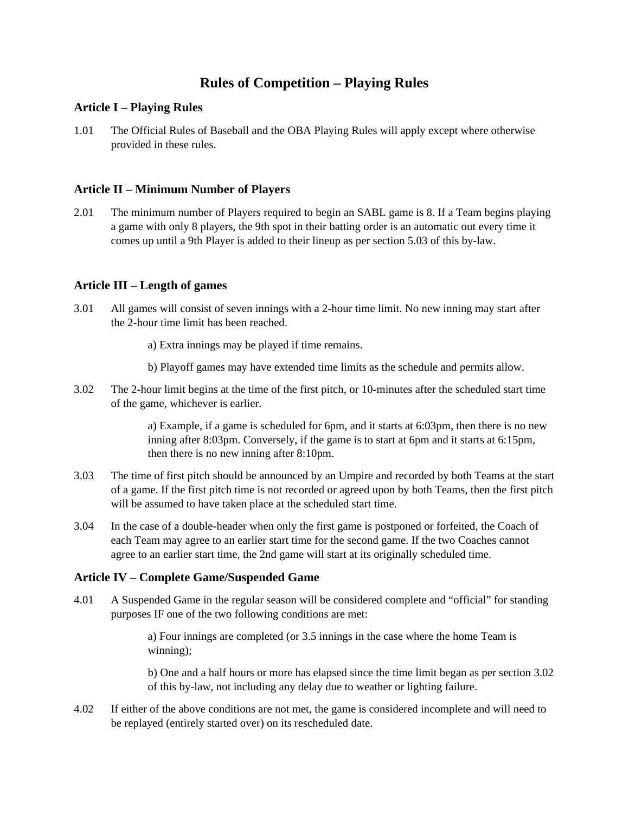## **Rules of Competition – Playing Rules**

### **Article I – Playing Rules**

1.01 The Official Rules of Baseball and the OBA Playing Rules will apply except where otherwise provided in these rules.

#### **Article II – Minimum Number of Players**

2.01 The minimum number of Players required to begin an SABL game is 8. If a Team begins playing a game with only 8 players, the 9th spot in their batting order is an automatic out every time it comes up until a 9th Player is added to their lineup as per section 5.03 of this by-law.

#### **Article III – Length of games**

- 3.01 All games will consist of seven innings with a 2-hour time limit. No new inning may start after the 2-hour time limit has been reached.
	- a) Extra innings may be played if time remains.
	- b) Playoff games may have extended time limits as the schedule and permits allow.
- 3.02 The 2-hour limit begins at the time of the first pitch, or 10-minutes after the scheduled start time of the game, whichever is earlier.

a) Example, if a game is scheduled for 6pm, and it starts at 6:03pm, then there is no new inning after 8:03pm. Conversely, if the game is to start at 6pm and it starts at 6:15pm, then there is no new inning after 8:10pm.

- 3.03 The time of first pitch should be announced by an Umpire and recorded by both Teams at the start of a game. If the first pitch time is not recorded or agreed upon by both Teams, then the first pitch will be assumed to have taken place at the scheduled start time.
- 3.04 In the case of a double-header when only the first game is postponed or forfeited, the Coach of each Team may agree to an earlier start time for the second game. If the two Coaches cannot agree to an earlier start time, the 2nd game will start at its originally scheduled time.

#### **Article IV – Complete Game/Suspended Game**

4.01 A Suspended Game in the regular season will be considered complete and "official" for standing purposes IF one of the two following conditions are met:

> a) Four innings are completed (or 3.5 innings in the case where the home Team is winning);

b) One and a half hours or more has elapsed since the time limit began as per section 3.02 of this by-law, not including any delay due to weather or lighting failure.

4.02 If either of the above conditions are not met, the game is considered incomplete and will need to be replayed (entirely started over) on its rescheduled date.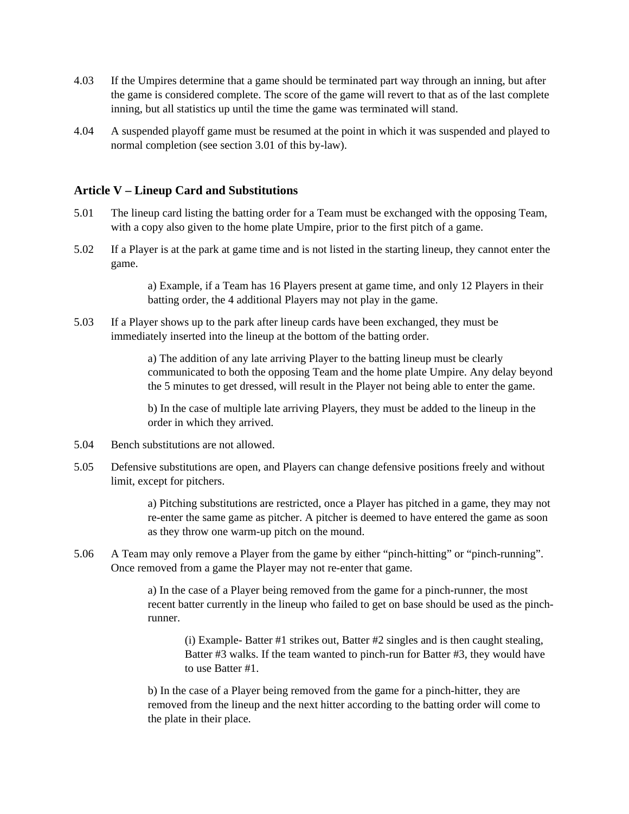- 4.03 If the Umpires determine that a game should be terminated part way through an inning, but after the game is considered complete. The score of the game will revert to that as of the last complete inning, but all statistics up until the time the game was terminated will stand.
- 4.04 A suspended playoff game must be resumed at the point in which it was suspended and played to normal completion (see section 3.01 of this by-law).

#### **Article V – Lineup Card and Substitutions**

- 5.01 The lineup card listing the batting order for a Team must be exchanged with the opposing Team, with a copy also given to the home plate Umpire, prior to the first pitch of a game.
- 5.02 If a Player is at the park at game time and is not listed in the starting lineup, they cannot enter the game.

a) Example, if a Team has 16 Players present at game time, and only 12 Players in their batting order, the 4 additional Players may not play in the game.

5.03 If a Player shows up to the park after lineup cards have been exchanged, they must be immediately inserted into the lineup at the bottom of the batting order.

> a) The addition of any late arriving Player to the batting lineup must be clearly communicated to both the opposing Team and the home plate Umpire. Any delay beyond the 5 minutes to get dressed, will result in the Player not being able to enter the game.

b) In the case of multiple late arriving Players, they must be added to the lineup in the order in which they arrived.

- 5.04 Bench substitutions are not allowed.
- 5.05 Defensive substitutions are open, and Players can change defensive positions freely and without limit, except for pitchers.

a) Pitching substitutions are restricted, once a Player has pitched in a game, they may not re-enter the same game as pitcher. A pitcher is deemed to have entered the game as soon as they throw one warm-up pitch on the mound.

5.06 A Team may only remove a Player from the game by either "pinch-hitting" or "pinch-running". Once removed from a game the Player may not re-enter that game.

> a) In the case of a Player being removed from the game for a pinch-runner, the most recent batter currently in the lineup who failed to get on base should be used as the pinchrunner.

(i) Example- Batter #1 strikes out, Batter #2 singles and is then caught stealing, Batter #3 walks. If the team wanted to pinch-run for Batter #3, they would have to use Batter #1.

b) In the case of a Player being removed from the game for a pinch-hitter, they are removed from the lineup and the next hitter according to the batting order will come to the plate in their place.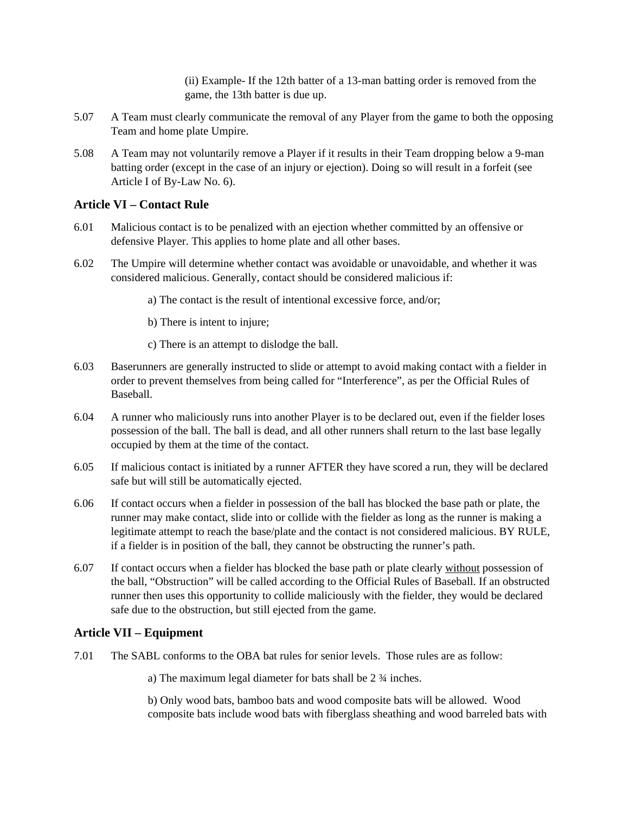(ii) Example- If the 12th batter of a 13-man batting order is removed from the game, the 13th batter is due up.

- 5.07 A Team must clearly communicate the removal of any Player from the game to both the opposing Team and home plate Umpire.
- 5.08 A Team may not voluntarily remove a Player if it results in their Team dropping below a 9-man batting order (except in the case of an injury or ejection). Doing so will result in a forfeit (see Article I of By-Law No. 6).

#### **Article VI – Contact Rule**

- 6.01 Malicious contact is to be penalized with an ejection whether committed by an offensive or defensive Player. This applies to home plate and all other bases.
- 6.02 The Umpire will determine whether contact was avoidable or unavoidable, and whether it was considered malicious. Generally, contact should be considered malicious if:
	- a) The contact is the result of intentional excessive force, and/or;
	- b) There is intent to injure;
	- c) There is an attempt to dislodge the ball.
- 6.03 Baserunners are generally instructed to slide or attempt to avoid making contact with a fielder in order to prevent themselves from being called for "Interference", as per the Official Rules of Baseball.
- 6.04 A runner who maliciously runs into another Player is to be declared out, even if the fielder loses possession of the ball. The ball is dead, and all other runners shall return to the last base legally occupied by them at the time of the contact.
- 6.05 If malicious contact is initiated by a runner AFTER they have scored a run, they will be declared safe but will still be automatically ejected.
- 6.06 If contact occurs when a fielder in possession of the ball has blocked the base path or plate, the runner may make contact, slide into or collide with the fielder as long as the runner is making a legitimate attempt to reach the base/plate and the contact is not considered malicious. BY RULE, if a fielder is in position of the ball, they cannot be obstructing the runner's path.
- 6.07 If contact occurs when a fielder has blocked the base path or plate clearly without possession of the ball, "Obstruction" will be called according to the Official Rules of Baseball. If an obstructed runner then uses this opportunity to collide maliciously with the fielder, they would be declared safe due to the obstruction, but still ejected from the game.

### **Article VII – Equipment**

7.01 The SABL conforms to the OBA bat rules for senior levels. Those rules are as follow:

a) The maximum legal diameter for bats shall be 2 ¾ inches.

b) Only wood bats, bamboo bats and wood composite bats will be allowed. Wood composite bats include wood bats with fiberglass sheathing and wood barreled bats with